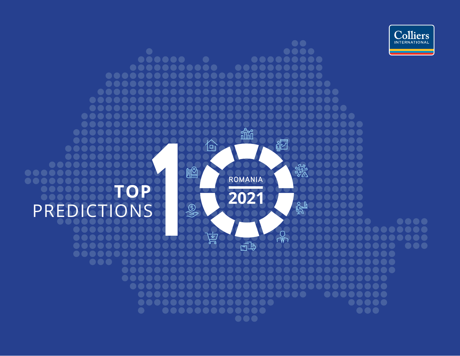

#### $\bullet\bullet$ ....  $\begin{array}{cccccccccccccc} \bullet & \bullet & \bullet & \bullet & \bullet & \bullet & \bullet & \bullet \end{array}$ ..... 80  $\bullet\bullet\bullet\bullet\bullet\bullet\bullet\bullet\bullet\bullet\bullet$ .... .... 88  $\bullet\bullet$ 80  $\bullet\bullet$ DO  $\bullet$  ( 00  $\bullet$  ( 阎 回  $\bullet$  ( **2022**<br>2022<br>Visco 88 to the second to the second set of the set of the set of the set of the set of the set of the set of the set of the set of the set of the set of the set of the set of the set of the set of the set of the set of the set of .... **ROMANIA** ... **TOP 2021**學 PREDICTIONS  $\mathbb{Q}$  $\bullet\bullet\bullet\bullet$  $\bullet\bullet\bullet\bullet$  $\bullet$  $\sqrt{\frac{1}{M}}$ 局  $\bullet\bullet$  $\bullet \bullet \bullet \bullet \bullet$ ... ....  $\begin{array}{cccccccccccccc} \bullet & \bullet & \bullet & \bullet & \bullet & \bullet & \bullet \end{array}$ ...  $\bullet\bullet$  $\bullet$  $\bullet\bullet$  $\bullet\bullet$  $\bullet\bullet$  $\begin{array}{ccccc}\n\bullet & \bullet & \bullet & \bullet & \bullet & \bullet\end{array}$ ......  $\bullet\bullet$ ... ............. ...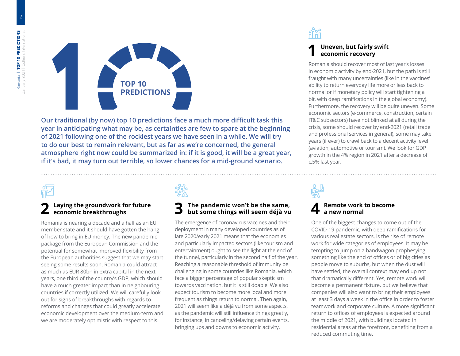

**Our traditional (by now) top 10 predictions face a much more difficult task this year in anticipating what may be, as certainties are few to spare at the beginning of 2021 following one of the rockiest years we have seen in a while. We will try to do our best to remain relevant, but as far as we're concerned, the general atmosphere right now could be summarized in: if it is good, it will be a great year, if it's bad, it may turn out terrible, so lower chances for a mid-ground scenario.**

### **2 Laying the groundwork for future economic breakthroughs**

Romania is nearing a decade and a half as an EU member state and it should have gotten the hang of how to bring in EU money. The new pandemic package from the European Commission and the potential for somewhat improved flexibility from the European authorities suggest that we may start seeing some results soon. Romania could attract as much as EUR 80bn in extra capital in the next years, one third of the country's GDP, which should have a much greater impact than in neighbouring countries if correctly utilized. We will carefully look out for signs of breakthroughs with regards to reforms and changes that could greatly accelerate economic development over the medium-term and we are moderately optimistic with respect to this.

## **3 The pandemic won't be the same, but some things will seem déjà vu**

The emergence of coronavirus vaccines and their deployment in many developed countries as of late 2020/early 2021 means that the economies and particularly impacted sectors (like tourism and entertainment) ought to see the light at the end of the tunnel, particularly in the second half of the year. Reaching a reasonable threshold of immunity be challenging in some countries like Romania, which face a bigger percentage of popular skepticism towards vaccination, but it is still doable. We also expect tourism to become more local and more frequent as things return to normal. Then again, 2021 will seem like a déjà vu from some aspects, as the pandemic will still influence things greatly, for instance, in canceling/delaying certain events, bringing ups and downs to economic activity.



### **1 Uneven, but fairly swift economic recovery**

Romania should recover most of last year's losses in economic activity by end-2021, but the path is still fraught with many uncertainties (like in the vaccines' ability to return everyday life more or less back to normal or if monetary policy will start tightening a bit, with deep ramifications in the global economy). Furthermore, the recovery will be quite uneven. Some economic sectors (e-commerce, construction, certain IT&C subsectors) have not blinked at all during the crisis, some should recover by end-2021 (retail trade and professional services in general), some may take years (if ever) to crawl back to a decent activity level (aviation, automotive or tourism). We look for GDP growth in the 4% region in 2021 after a decrease of c.5% last year.

#### **4 Remote work to become a new normal**

One of the biggest changes to come out of the COVID-19 pandemic, with deep ramifications for various real estate sectors, is the rise of remote work for wide categories of employees. It may be tempting to jump on a bandwagon prophesying something like the end of offices or of big cities as people move to suburbs, but when the dust will have settled, the overall context may end up not that dramatically different. Yes, remote work will become a permanent fixture, but we believe that companies will also want to bring their employees at least 3 days a week in the office in order to foster teamwork and corporate culture. A more significant return to offices of employees is expected around the middle of 2021, with buildings located in residential areas at the forefront, benefiting from a reduced commuting time.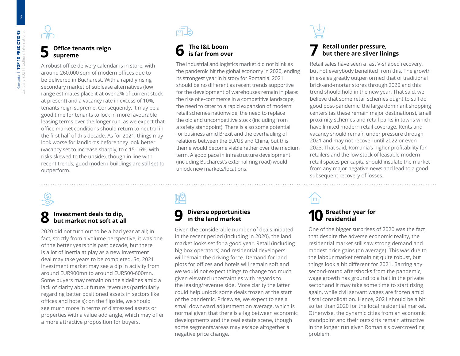### **5 Office tenants reign supreme**

A robust office delivery calendar is in store, with around 260,000 sqm of modern offices due to be delivered in Bucharest. With a rapidly rising secondary market of sublease alternatives (low range estimates place it at over 2% of current stock at present) and a vacancy rate in excess of 10%, tenants reign supreme. Consequently, it may be a good time for tenants to lock in more favourable leasing terms over the longer run, as we expect that office market conditions should return to neutral in the first half of this decade. As for 2021, things may look worse for landlords before they look better (vacancy set to increase sharply, to c.15-16%, with risks skewed to the upside), though in line with recent trends, good modern buildings are still set to outperform.

## **6 The I&L boom is far from over**

The industrial and logistics market did not blink as the pandemic hit the global economy in 2020, ending its strongest year in history for Romania. 2021 should be no different as recent trends supportive for the development of warehouses remain in place: the rise of e-commerce in a competitive landscape, the need to cater to a rapid expansion of modern retail schemes nationwide, the need to replace the old and uncompetitive stock (including from a safety standpoint). There is also some potential for business amid Brexit and the overhauling of relations between the EU/US and China, but this theme would become viable rather over the medium term. A good pace in infrastructure development (including Bucharest's external ring road) would unlock new markets/locations.

### **8 Investment deals to dip, but market not soft at all**

2020 did not turn out to be a bad year at all; in fact, strictly from a volume perspective, it was one of the better years this past decade, but there is a lot of inertia at play as a new investment deal may take years to be completed. So, 2021 investment market may see a dip in activity from around EUR900mn to around EUR500-600mn. Some buyers may remain on the sidelines amid a lack of clarity about future revenues (particularly regarding better positioned assets in sectors like offices and hotels); on the flipside, we should see much more in terms of distressed assets or properties with a value add angle, which may offer a more attractive proposition for buyers.

### **9 Diverse opportunities in the land market**

Given the considerable number of deals initiated in the recent period (including in 2020), the land market looks set for a good year. Retail (including big box operators) and residential developers will remain the driving force. Demand for land plots for offices and hotels will remain soft and we would not expect things to change too much given elevated uncertainties with regards to the leasing/revenue side. More clarity the latter could help unlock some deals frozen at the start of the pandemic. Pricewise, we expect to see a small downward adjustment on average, which is normal given that there is a lag between economic developments and the real estate scene, though some segments/areas may escape altogether a negative price change.

## **7 Retail under pressure, but there are silver linings**

Retail sales have seen a fast V-shaped recovery, but not everybody benefited from this. The growth in e-sales greatly outperformed that of traditional brick-and-mortar stores through 2020 and this trend should hold in the new year. That said, we believe that some retail schemes ought to still do good post-pandemic: the large dominant shopping centers (as these remain major destinations), small proximity schemes and retail parks in towns which have limited modern retail coverage. Rents and vacancy should remain under pressure through 2021 and may not recover until 2022 or even 2023. That said, Romania's higher profitability for retailers and the low stock of leasable modern retail spaces per capita should insulate the market from any major negative news and lead to a good subsequent recovery of losses.

# $\Box$

## **10 Breather year for residential**

One of the bigger surprises of 2020 was the fact that despite the adverse economic reality, the residential market still saw strong demand and modest price gains (on average). This was due to the labour market remaining quite robust, but things look a bit different for 2021. Barring any second-round aftershocks from the pandemic, wage growth has ground to a halt in the private sector and it may take some time to start rising again, while civil servant wages are frozen amid fiscal consolidation. Hence, 2021 should be a bit softer than 2020 for the local residential market. Otherwise, the dynamic cities from an economic standpoint and their outskirts remain attractive in the longer run given Romania's overcrowding problem.